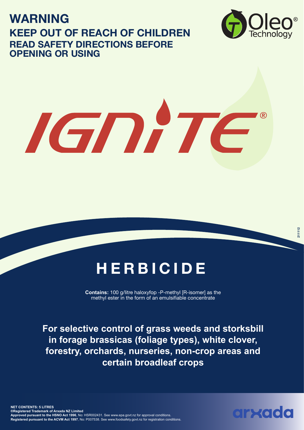**WARNING KEEP OUT OF REACH OF CHILDREN READ SAFETY DIRECTIONS BEFORE OPENING OR USING**



# IGNITE

# **HERBICIDE**

**Contains:** 100 g/litre haloxyfop -P-methyl [R-isomer] as the methyl ester in the form of an emulsifiable concentrate

**For selective control of grass weeds and storksbill in forage brassicas (foliage types), white clover, forestry, orchards, nurseries, non-crop areas and certain broadleaf crops**

**NET CONTENTS: 5 LITRES ®Registered Trademark of Arxada NZ Limited Approved pursuant to the HSNO Act 1996**, No: HSR002431. See www.epa.govt.nz for approval conditions. **Registered pursuant to the ACVM Act 1997**, No: P007538. See www.foodsafety.govt.nz for registration conditions.

arxado